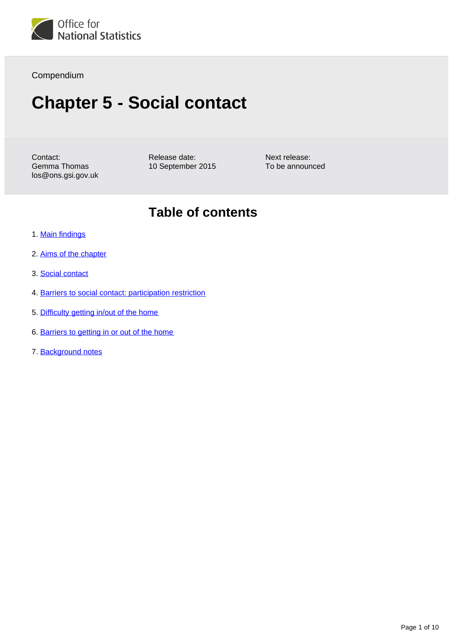

#### Compendium

# **Chapter 5 - Social contact**

Contact: Gemma Thomas los@ons.gsi.gov.uk Release date: 10 September 2015 Next release: To be announced

### **Table of contents**

- 1. [Main findings](#page-1-0)
- 2. [Aims of the chapter](#page-1-1)
- 3. [Social contact](#page-2-0)
- 4. [Barriers to social contact: participation restriction](#page-5-0)
- 5. [Difficulty getting in/out of the home](#page-7-0)
- 6. [Barriers to getting in or out of the home](#page-8-0)
- 7. Background notes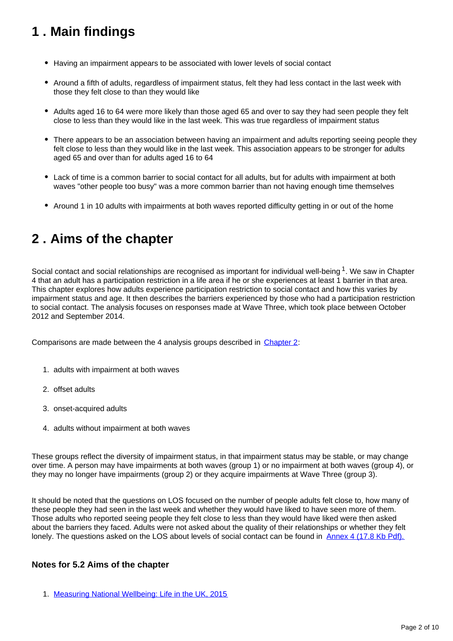# <span id="page-1-0"></span>**1 . Main findings**

- Having an impairment appears to be associated with lower levels of social contact
- Around a fifth of adults, regardless of impairment status, felt they had less contact in the last week with those they felt close to than they would like
- Adults aged 16 to 64 were more likely than those aged 65 and over to say they had seen people they felt close to less than they would like in the last week. This was true regardless of impairment status
- There appears to be an association between having an impairment and adults reporting seeing people they felt close to less than they would like in the last week. This association appears to be stronger for adults aged 65 and over than for adults aged 16 to 64
- Lack of time is a common barrier to social contact for all adults, but for adults with impairment at both waves "other people too busy" was a more common barrier than not having enough time themselves
- Around 1 in 10 adults with impairments at both waves reported difficulty getting in or out of the home

## <span id="page-1-1"></span>**2 . Aims of the chapter**

Social contact and social relationships are recognised as important for individual well-being  $1$ . We saw in Chapter 4 that an adult has a participation restriction in a life area if he or she experiences at least 1 barrier in that area. This chapter explores how adults experience participation restriction to social contact and how this varies by impairment status and age. It then describes the barriers experienced by those who had a participation restriction to social contact. The analysis focuses on responses made at Wave Three, which took place between October 2012 and September 2014.

Comparisons are made between the 4 analysis groups described in [Chapter 2:](http://www.ons.gov.uk/ons/rel/los/life-opportunities-survey/wave-three--final-report--october-2012-to-september-2014/rpt-chapter-2.html?format=contrast)

- 1. adults with impairment at both waves
- 2. offset adults
- 3. onset-acquired adults
- 4. adults without impairment at both waves

These groups reflect the diversity of impairment status, in that impairment status may be stable, or may change over time. A person may have impairments at both waves (group 1) or no impairment at both waves (group 4), or they may no longer have impairments (group 2) or they acquire impairments at Wave Three (group 3).

It should be noted that the questions on LOS focused on the number of people adults felt close to, how many of these people they had seen in the last week and whether they would have liked to have seen more of them. Those adults who reported seeing people they felt close to less than they would have liked were then asked about the barriers they faced. Adults were not asked about the quality of their relationships or whether they felt lonely. The questions asked on the LOS about levels of social contact can be found in [Annex 4 \(17.8 Kb Pdf\).](http://www.ons.gov.uk/ons/guide-method/method-quality/specific/social-and-welfare-methodology/life-opportunities-survey/annex-3-question-on-social-contact.pdf?format=contrast)

#### **Notes for 5.2 Aims of the chapter**

1. [Measuring National Wellbeing: Life in the UK, 2015](http://www.ons.gov.uk/ons/rel/wellbeing/measuring-national-well-being/life-in-the-uk--2015/art-mnwb-life-in-the-uk-2015.html?format=contrast)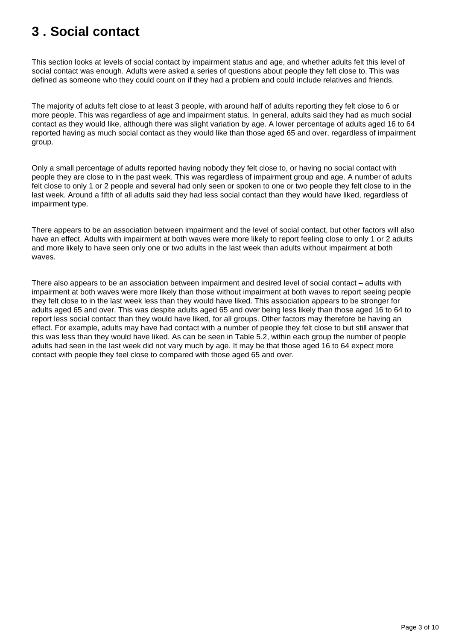# <span id="page-2-0"></span>**3 . Social contact**

This section looks at levels of social contact by impairment status and age, and whether adults felt this level of social contact was enough. Adults were asked a series of questions about people they felt close to. This was defined as someone who they could count on if they had a problem and could include relatives and friends.

The majority of adults felt close to at least 3 people, with around half of adults reporting they felt close to 6 or more people. This was regardless of age and impairment status. In general, adults said they had as much social contact as they would like, although there was slight variation by age. A lower percentage of adults aged 16 to 64 reported having as much social contact as they would like than those aged 65 and over, regardless of impairment group.

Only a small percentage of adults reported having nobody they felt close to, or having no social contact with people they are close to in the past week. This was regardless of impairment group and age. A number of adults felt close to only 1 or 2 people and several had only seen or spoken to one or two people they felt close to in the last week. Around a fifth of all adults said they had less social contact than they would have liked, regardless of impairment type.

There appears to be an association between impairment and the level of social contact, but other factors will also have an effect. Adults with impairment at both waves were more likely to report feeling close to only 1 or 2 adults and more likely to have seen only one or two adults in the last week than adults without impairment at both waves.

There also appears to be an association between impairment and desired level of social contact – adults with impairment at both waves were more likely than those without impairment at both waves to report seeing people they felt close to in the last week less than they would have liked. This association appears to be stronger for adults aged 65 and over. This was despite adults aged 65 and over being less likely than those aged 16 to 64 to report less social contact than they would have liked, for all groups. Other factors may therefore be having an effect. For example, adults may have had contact with a number of people they felt close to but still answer that this was less than they would have liked. As can be seen in Table 5.2, within each group the number of people adults had seen in the last week did not vary much by age. It may be that those aged 16 to 64 expect more contact with people they feel close to compared with those aged 65 and over.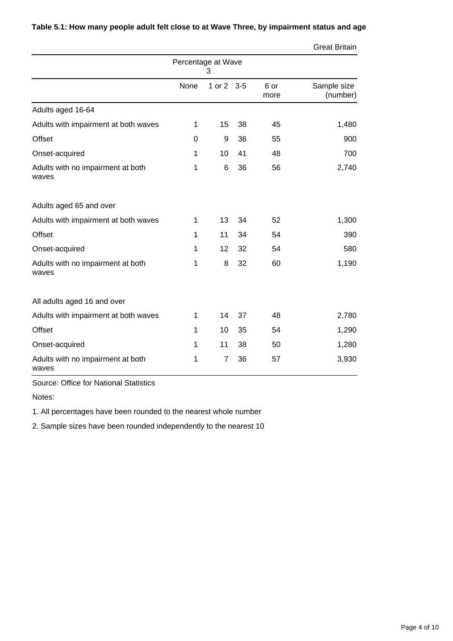|                                            |              |          |       |              | <b>Great Britain</b>    |
|--------------------------------------------|--------------|----------|-------|--------------|-------------------------|
| Percentage at Wave<br>3                    |              |          |       |              |                         |
|                                            | None         | 1 or $2$ | $3-5$ | 6 or<br>more | Sample size<br>(number) |
| Adults aged 16-64                          |              |          |       |              |                         |
| Adults with impairment at both waves       | 1            | 15       | 38    | 45           | 1,480                   |
| <b>Offset</b>                              | $\Omega$     | 9        | 36    | 55           | 900                     |
| Onset-acquired                             | 1            | 10       | 41    | 48           | 700                     |
| Adults with no impairment at both<br>waves | 1            | 6        | 36    | 56           | 2,740                   |
| Adults aged 65 and over                    |              |          |       |              |                         |
| Adults with impairment at both waves       | 1            | 13       | 34    | 52           | 1,300                   |
| <b>Offset</b>                              | 1            | 11       | 34    | 54           | 390                     |
| Onset-acquired                             | 1            | 12       | 32    | 54           | 580                     |
| Adults with no impairment at both<br>waves | 1            | 8        | 32    | 60           | 1,190                   |
| All adults aged 16 and over                |              |          |       |              |                         |
| Adults with impairment at both waves       | $\mathbf{1}$ | 14       | 37    | 48           | 2,780                   |
| <b>Offset</b>                              | 1            | 10       | 35    | 54           | 1,290                   |
| Onset-acquired                             | 1            | 11       | 38    | 50           | 1,280                   |
| Adults with no impairment at both<br>waves | 1            | 7        | 36    | 57           | 3,930                   |

**Table 5.1: How many people adult felt close to at Wave Three, by impairment status and age**

Source: Office for National Statistics

Notes:

1. All percentages have been rounded to the nearest whole number

2. Sample sizes have been rounded independently to the nearest 10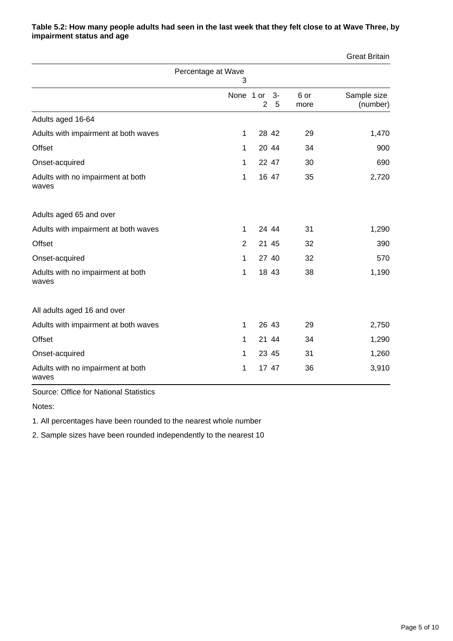|                                            |                         |                |       |              | <b>Great Britain</b>    |
|--------------------------------------------|-------------------------|----------------|-------|--------------|-------------------------|
|                                            | Percentage at Wave<br>3 |                |       |              |                         |
|                                            | None 1 or 3-            | $\overline{2}$ | 5     | 6 or<br>more | Sample size<br>(number) |
| Adults aged 16-64                          |                         |                |       |              |                         |
| Adults with impairment at both waves       | $\mathbf{1}$            | 28 42          |       | 29           | 1,470                   |
| Offset                                     | 1                       | 20 44          |       | 34           | 900                     |
| Onset-acquired                             | 1                       | 22 47          |       | 30           | 690                     |
| Adults with no impairment at both<br>waves | 1                       |                | 16 47 | 35           | 2,720                   |
| Adults aged 65 and over                    |                         |                |       |              |                         |
| Adults with impairment at both waves       | 1                       | 24 44          |       | 31           | 1,290                   |
| <b>Offset</b>                              | 2                       | 21 45          |       | 32           | 390                     |
| Onset-acquired                             | 1                       | 27 40          |       | 32           | 570                     |
| Adults with no impairment at both<br>waves | 1                       |                | 18 43 | 38           | 1,190                   |
| All adults aged 16 and over                |                         |                |       |              |                         |
| Adults with impairment at both waves       | 1                       | 26 43          |       | 29           | 2,750                   |
| Offset                                     | 1                       | 21 44          |       | 34           | 1,290                   |
| Onset-acquired                             | 1                       | 23 45          |       | 31           | 1,260                   |
| Adults with no impairment at both<br>waves | 1                       | 17 47          |       | 36           | 3,910                   |

#### **Table 5.2: How many people adults had seen in the last week that they felt close to at Wave Three, by impairment status and age**

Source: Office for National Statistics

Notes:

1. All percentages have been rounded to the nearest whole number

2. Sample sizes have been rounded independently to the nearest 10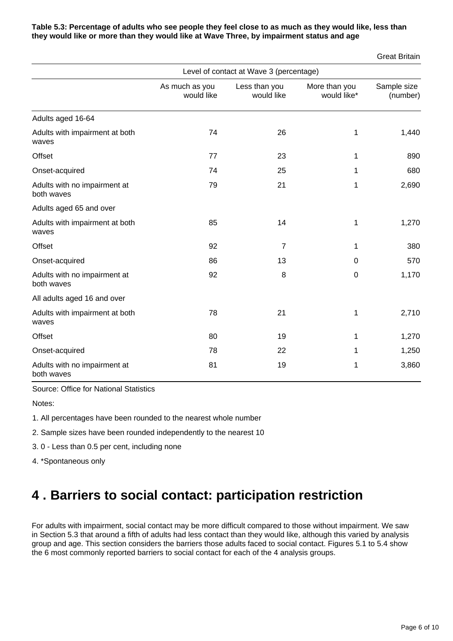#### **Table 5.3: Percentage of adults who see people they feel close to as much as they would like, less than they would like or more than they would like at Wave Three, by impairment status and age**

Great Britain

|                                            | Level of contact at Wave 3 (percentage) |                             |                              |                         |  |
|--------------------------------------------|-----------------------------------------|-----------------------------|------------------------------|-------------------------|--|
|                                            | As much as you<br>would like            | Less than you<br>would like | More than you<br>would like* | Sample size<br>(number) |  |
| Adults aged 16-64                          |                                         |                             |                              |                         |  |
| Adults with impairment at both<br>waves    | 74                                      | 26                          | 1                            | 1,440                   |  |
| Offset                                     | 77                                      | 23                          | 1                            | 890                     |  |
| Onset-acquired                             | 74                                      | 25                          | 1                            | 680                     |  |
| Adults with no impairment at<br>both waves | 79                                      | 21                          | 1                            | 2,690                   |  |
| Adults aged 65 and over                    |                                         |                             |                              |                         |  |
| Adults with impairment at both<br>waves    | 85                                      | 14                          | 1                            | 1,270                   |  |
| Offset                                     | 92                                      | $\overline{7}$              | 1                            | 380                     |  |
| Onset-acquired                             | 86                                      | 13                          | $\Omega$                     | 570                     |  |
| Adults with no impairment at<br>both waves | 92                                      | 8                           | 0                            | 1,170                   |  |
| All adults aged 16 and over                |                                         |                             |                              |                         |  |
| Adults with impairment at both<br>waves    | 78                                      | 21                          | 1                            | 2,710                   |  |
| <b>Offset</b>                              | 80                                      | 19                          | 1                            | 1,270                   |  |
| Onset-acquired                             | 78                                      | 22                          | 1                            | 1,250                   |  |
| Adults with no impairment at<br>both waves | 81                                      | 19                          | 1                            | 3,860                   |  |

Source: Office for National Statistics

Notes:

1. All percentages have been rounded to the nearest whole number

2. Sample sizes have been rounded independently to the nearest 10

3. 0 - Less than 0.5 per cent, including none

4. \*Spontaneous only

### <span id="page-5-0"></span>**4 . Barriers to social contact: participation restriction**

For adults with impairment, social contact may be more difficult compared to those without impairment. We saw in Section 5.3 that around a fifth of adults had less contact than they would like, although this varied by analysis group and age. This section considers the barriers those adults faced to social contact. Figures 5.1 to 5.4 show the 6 most commonly reported barriers to social contact for each of the 4 analysis groups.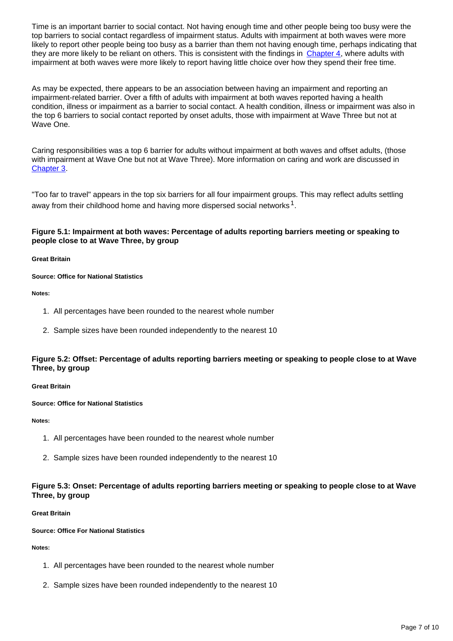Time is an important barrier to social contact. Not having enough time and other people being too busy were the top barriers to social contact regardless of impairment status. Adults with impairment at both waves were more likely to report other people being too busy as a barrier than them not having enough time, perhaps indicating that they are more likely to be reliant on others. This is consistent with the findings in [Chapter 4,](http://www.ons.gov.uk/ons/rel/los/life-opportunities-survey/wave-three--final-report--october-2012-to-september-2014/rpt-chapter-4.html?format=contrast) where adults with impairment at both waves were more likely to report having little choice over how they spend their free time.

As may be expected, there appears to be an association between having an impairment and reporting an impairment-related barrier. Over a fifth of adults with impairment at both waves reported having a health condition, illness or impairment as a barrier to social contact. A health condition, illness or impairment was also in the top 6 barriers to social contact reported by onset adults, those with impairment at Wave Three but not at Wave One.

Caring responsibilities was a top 6 barrier for adults without impairment at both waves and offset adults, (those with impairment at Wave One but not at Wave Three). More information on caring and work are discussed in [Chapter 3](http://www.ons.gov.uk/ons/rel/los/life-opportunities-survey/wave-three--final-report--october-2012-to-september-2014/rpt-chapter-3.html?format=contrast).

"Too far to travel" appears in the top six barriers for all four impairment groups. This may reflect adults settling away from their childhood home and having more dispersed social networks  $^1$ .

#### **Figure 5.1: Impairment at both waves: Percentage of adults reporting barriers meeting or speaking to people close to at Wave Three, by group**

**Great Britain**

#### **Source: Office for National Statistics**

**Notes:**

- 1. All percentages have been rounded to the nearest whole number
- 2. Sample sizes have been rounded independently to the nearest 10

#### **Figure 5.2: Offset: Percentage of adults reporting barriers meeting or speaking to people close to at Wave Three, by group**

**Great Britain**

**Source: Office for National Statistics**

**Notes:**

- 1. All percentages have been rounded to the nearest whole number
- 2. Sample sizes have been rounded independently to the nearest 10

#### **Figure 5.3: Onset: Percentage of adults reporting barriers meeting or speaking to people close to at Wave Three, by group**

#### **Great Britain**

#### **Source: Office For National Statistics**

**Notes:**

- 1. All percentages have been rounded to the nearest whole number
- 2. Sample sizes have been rounded independently to the nearest 10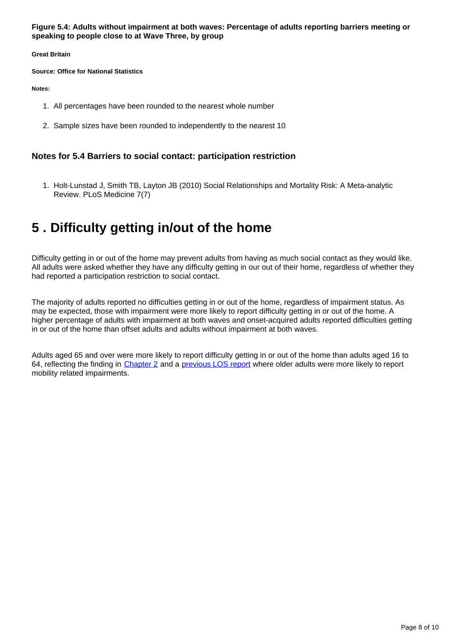**Figure 5.4: Adults without impairment at both waves: Percentage of adults reporting barriers meeting or speaking to people close to at Wave Three, by group**

**Great Britain**

**Source: Office for National Statistics**

**Notes:**

- 1. All percentages have been rounded to the nearest whole number
- 2. Sample sizes have been rounded to independently to the nearest 10

#### **Notes for 5.4 Barriers to social contact: participation restriction**

1. Holt-Lunstad J, Smith TB, Layton JB (2010) Social Relationships and Mortality Risk: A Meta-analytic Review. PLoS Medicine 7(7)

### <span id="page-7-0"></span>**5 . Difficulty getting in/out of the home**

Difficulty getting in or out of the home may prevent adults from having as much social contact as they would like. All adults were asked whether they have any difficulty getting in our out of their home, regardless of whether they had reported a participation restriction to social contact.

The majority of adults reported no difficulties getting in or out of the home, regardless of impairment status. As may be expected, those with impairment were more likely to report difficulty getting in or out of the home. A higher percentage of adults with impairment at both waves and onset-acquired adults reported difficulties getting in or out of the home than offset adults and adults without impairment at both waves.

Adults aged 65 and over were more likely to report difficulty getting in or out of the home than adults aged 16 to 64, reflecting the finding in [Chapter 2](http://www.ons.gov.uk/ons/rel/los/life-opportunities-survey/wave-three--final-report--october-2012-to-september-2014/rpt-chapter-2.html?format=contrast) and a [previous LOS report](https://www.gov.uk/government/uploads/system/uploads/attachment_data/file/180891/los_wave_one_200911.pdf) where older adults were more likely to report mobility related impairments.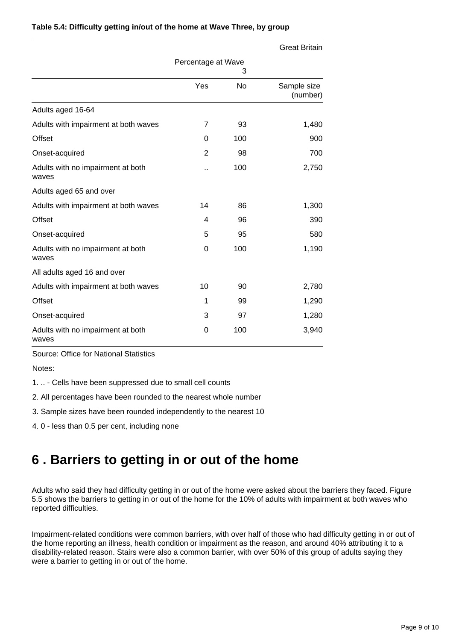|                                            |                    |     | <b>Great Britain</b>    |
|--------------------------------------------|--------------------|-----|-------------------------|
|                                            | Percentage at Wave | 3   |                         |
|                                            | Yes                | No  | Sample size<br>(number) |
| Adults aged 16-64                          |                    |     |                         |
| Adults with impairment at both waves       | 7                  | 93  | 1,480                   |
| <b>Offset</b>                              | $\Omega$           | 100 | 900                     |
| Onset-acquired                             | $\overline{2}$     | 98  | 700                     |
| Adults with no impairment at both<br>waves | . .                | 100 | 2,750                   |
| Adults aged 65 and over                    |                    |     |                         |
| Adults with impairment at both waves       | 14                 | 86  | 1,300                   |
| <b>Offset</b>                              | 4                  | 96  | 390                     |
| Onset-acquired                             | 5                  | 95  | 580                     |
| Adults with no impairment at both<br>waves | 0                  | 100 | 1,190                   |
| All adults aged 16 and over                |                    |     |                         |
| Adults with impairment at both waves       | 10                 | 90  | 2,780                   |
| <b>Offset</b>                              | 1                  | 99  | 1,290                   |
| Onset-acquired                             | 3                  | 97  | 1,280                   |
| Adults with no impairment at both<br>waves | 0                  | 100 | 3,940                   |

#### **Table 5.4: Difficulty getting in/out of the home at Wave Three, by group**

Source: Office for National Statistics

Notes:

1. .. - Cells have been suppressed due to small cell counts

2. All percentages have been rounded to the nearest whole number

3. Sample sizes have been rounded independently to the nearest 10

4. 0 - less than 0.5 per cent, including none

### <span id="page-8-0"></span>**6 . Barriers to getting in or out of the home**

Adults who said they had difficulty getting in or out of the home were asked about the barriers they faced. Figure 5.5 shows the barriers to getting in or out of the home for the 10% of adults with impairment at both waves who reported difficulties.

Impairment-related conditions were common barriers, with over half of those who had difficulty getting in or out of the home reporting an illness, health condition or impairment as the reason, and around 40% attributing it to a disability-related reason. Stairs were also a common barrier, with over 50% of this group of adults saying they were a barrier to getting in or out of the home.